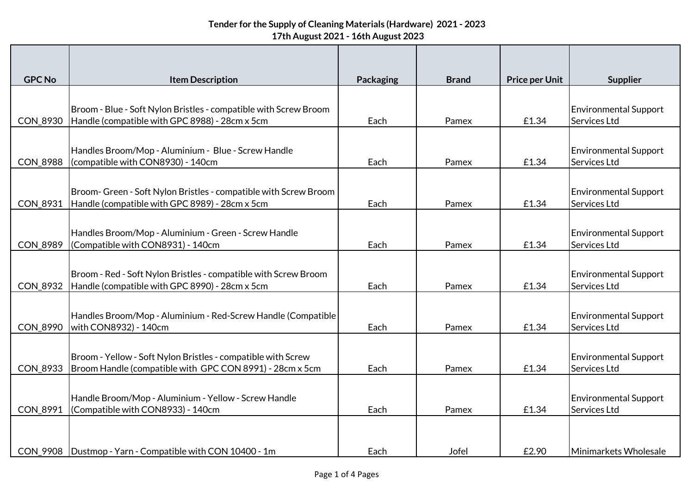| <b>GPC No</b>   | <b>Item Description</b>                                                                                                  | <b>Packaging</b> | <b>Brand</b> | <b>Price per Unit</b> | <b>Supplier</b>                              |
|-----------------|--------------------------------------------------------------------------------------------------------------------------|------------------|--------------|-----------------------|----------------------------------------------|
|                 |                                                                                                                          |                  |              |                       |                                              |
|                 | Broom - Blue - Soft Nylon Bristles - compatible with Screw Broom                                                         |                  |              |                       | <b>Environmental Support</b>                 |
| CON_8930        | Handle (compatible with GPC 8988) - 28cm x 5cm                                                                           | Each             | Pamex        | £1.34                 | Services Ltd                                 |
|                 |                                                                                                                          |                  |              |                       |                                              |
| <b>CON 8988</b> | Handles Broom/Mop - Aluminium - Blue - Screw Handle<br>(compatible with CON8930) - 140cm                                 | Each             | Pamex        | £1.34                 | <b>Environmental Support</b><br>Services Ltd |
|                 |                                                                                                                          |                  |              |                       |                                              |
|                 | Broom- Green - Soft Nylon Bristles - compatible with Screw Broom                                                         |                  |              |                       | <b>Environmental Support</b>                 |
| CON_8931        | Handle (compatible with GPC 8989) - 28cm x 5cm                                                                           | Each             | Pamex        | £1.34                 | Services Ltd                                 |
|                 |                                                                                                                          |                  |              |                       |                                              |
|                 | Handles Broom/Mop - Aluminium - Green - Screw Handle                                                                     |                  |              |                       | <b>Environmental Support</b>                 |
| CON_8989        | (Compatible with CON8931) - 140cm                                                                                        | Each             | Pamex        | £1.34                 | Services Ltd                                 |
|                 | Broom - Red - Soft Nylon Bristles - compatible with Screw Broom                                                          |                  |              |                       | <b>Environmental Support</b>                 |
| <b>CON 8932</b> | Handle (compatible with GPC 8990) - 28cm x 5cm                                                                           | Each             | Pamex        | £1.34                 | Services Ltd                                 |
|                 |                                                                                                                          |                  |              |                       |                                              |
|                 | Handles Broom/Mop - Aluminium - Red-Screw Handle (Compatible)                                                            |                  |              |                       | <b>Environmental Support</b>                 |
| <b>CON 8990</b> | with CON8932) - 140cm                                                                                                    | Each             | Pamex        | £1.34                 | Services Ltd                                 |
|                 |                                                                                                                          |                  |              |                       |                                              |
| <b>CON 8933</b> | Broom - Yellow - Soft Nylon Bristles - compatible with Screw<br>Broom Handle (compatible with GPC CON 8991) - 28cm x 5cm | Each             | Pamex        | £1.34                 | <b>Environmental Support</b><br>Services Ltd |
|                 |                                                                                                                          |                  |              |                       |                                              |
|                 | Handle Broom/Mop - Aluminium - Yellow - Screw Handle                                                                     |                  |              |                       | <b>Environmental Support</b>                 |
| <b>CON 8991</b> | (Compatible with CON8933) - 140cm                                                                                        | Each             | Pamex        | £1.34                 | Services Ltd                                 |
|                 |                                                                                                                          |                  |              |                       |                                              |
|                 |                                                                                                                          |                  |              |                       |                                              |
|                 | CON_9908   Dustmop - Yarn - Compatible with CON 10400 - 1m                                                               | Each             | Jofel        | £2.90                 | Minimarkets Wholesale                        |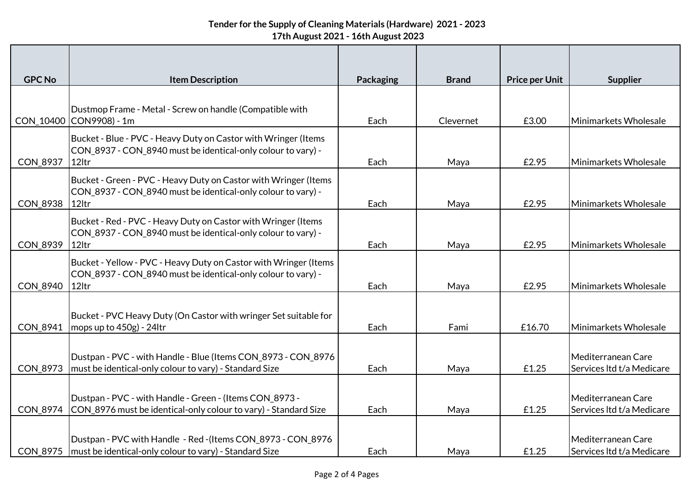## **Tender for the Supply of Cleaning Materials (Hardware) 2021 - 2023 17th August 2021 - 16th August 2023**

| <b>GPC No</b>   | <b>Item Description</b>                                                                                                                   | <b>Packaging</b> | <b>Brand</b> | <b>Price per Unit</b> | <b>Supplier</b>                                 |
|-----------------|-------------------------------------------------------------------------------------------------------------------------------------------|------------------|--------------|-----------------------|-------------------------------------------------|
| CON_10400       | Dustmop Frame - Metal - Screw on handle (Compatible with<br>CON9908) - 1m                                                                 | Each             | Clevernet    | £3.00                 | Minimarkets Wholesale                           |
| CON_8937        | Bucket - Blue - PVC - Heavy Duty on Castor with Wringer (Items<br>CON_8937 - CON_8940 must be identical-only colour to vary) -<br>12ltr   | Each             | Maya         | £2.95                 | Minimarkets Wholesale                           |
| CON_8938        | Bucket - Green - PVC - Heavy Duty on Castor with Wringer (Items<br>CON_8937 - CON_8940 must be identical-only colour to vary) -<br>12ltr  | Each             | Maya         | £2.95                 | Minimarkets Wholesale                           |
| CON_8939        | Bucket - Red - PVC - Heavy Duty on Castor with Wringer (Items<br>CON_8937 - CON_8940 must be identical-only colour to vary) -<br>12ltr    | Each             | Maya         | £2.95                 | Minimarkets Wholesale                           |
| CON_8940        | Bucket - Yellow - PVC - Heavy Duty on Castor with Wringer (Items<br>CON_8937 - CON_8940 must be identical-only colour to vary) -<br>12ltr | Each             | Maya         | £2.95                 | Minimarkets Wholesale                           |
| CON_8941        | Bucket - PVC Heavy Duty (On Castor with wringer Set suitable for<br>mops up to 450g) - 24ltr                                              | Each             | Fami         | £16.70                | Minimarkets Wholesale                           |
| CON_8973        | Dustpan - PVC - with Handle - Blue (Items CON_8973 - CON_8976<br>must be identical-only colour to vary) - Standard Size                   | Each             | Maya         | £1.25                 | Mediterranean Care<br>Services Itd t/a Medicare |
| CON_8974        | Dustpan - PVC - with Handle - Green - (Items CON_8973 -<br>CON_8976 must be identical-only colour to vary) - Standard Size                | Each             | Maya         | £1.25                 | Mediterranean Care<br>Services Itd t/a Medicare |
| <b>CON 8975</b> | Dustpan - PVC with Handle - Red - (Items CON_8973 - CON_8976<br>must be identical-only colour to vary) - Standard Size                    | Each             | Maya         | £1.25                 | Mediterranean Care<br>Services Itd t/a Medicare |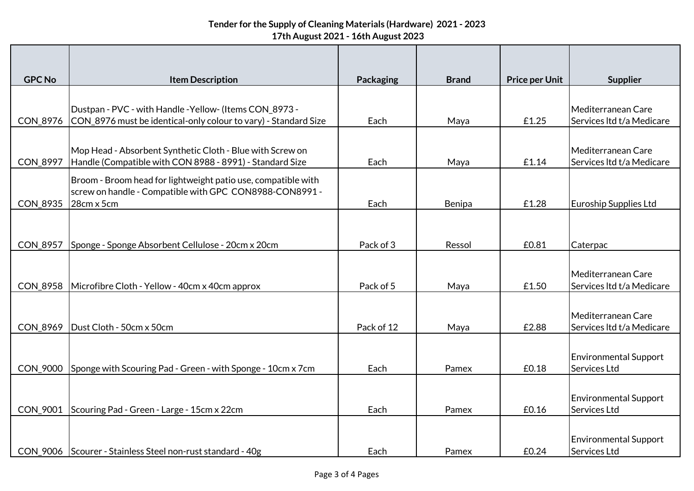## **Tender for the Supply of Cleaning Materials (Hardware) 2021 - 2023 17th August 2021 - 16th August 2023**

| <b>GPC No</b>   | <b>Item Description</b>                                                                                                    | Packaging  | <b>Brand</b> | <b>Price per Unit</b> | <b>Supplier</b>                                 |
|-----------------|----------------------------------------------------------------------------------------------------------------------------|------------|--------------|-----------------------|-------------------------------------------------|
|                 |                                                                                                                            |            |              |                       |                                                 |
| CON_8976        | Dustpan - PVC - with Handle - Yellow- (Items CON_8973 -<br>CON_8976 must be identical-only colour to vary) - Standard Size | Each       | Maya         | £1.25                 | Mediterranean Care<br>Services Itd t/a Medicare |
|                 |                                                                                                                            |            |              |                       |                                                 |
| CON_8997        | Mop Head - Absorbent Synthetic Cloth - Blue with Screw on<br>Handle (Compatible with CON 8988 - 8991) - Standard Size      | Each       | Maya         | £1.14                 | Mediterranean Care<br>Services Itd t/a Medicare |
|                 | Broom - Broom head for lightweight patio use, compatible with<br>screw on handle - Compatible with GPC CON8988-CON8991 -   |            |              |                       |                                                 |
| CON_8935        | 28cm x 5cm                                                                                                                 | Each       | Benipa       | £1.28                 | <b>Euroship Supplies Ltd</b>                    |
|                 |                                                                                                                            |            |              |                       |                                                 |
| <b>CON_8957</b> | Sponge - Sponge Absorbent Cellulose - 20cm x 20cm                                                                          | Pack of 3  | Ressol       | £0.81                 | Caterpac                                        |
|                 |                                                                                                                            |            |              |                       |                                                 |
| <b>CON 8958</b> | Microfibre Cloth - Yellow - 40cm x 40cm approx                                                                             | Pack of 5  | Maya         | £1.50                 | Mediterranean Care<br>Services Itd t/a Medicare |
|                 |                                                                                                                            |            |              |                       |                                                 |
| <b>CON 8969</b> | Dust Cloth - 50cm x 50cm                                                                                                   | Pack of 12 | Maya         | £2.88                 | Mediterranean Care<br>Services Itd t/a Medicare |
| <b>CON 9000</b> | Sponge with Scouring Pad - Green - with Sponge - 10cm x 7cm                                                                | Each       | Pamex        | £0.18                 | <b>Environmental Support</b><br>Services Ltd    |
|                 |                                                                                                                            |            |              |                       |                                                 |
| CON_9001        | Scouring Pad - Green - Large - 15cm x 22cm                                                                                 | Each       | Pamex        | £0.16                 | <b>Environmental Support</b><br>Services Ltd    |
|                 |                                                                                                                            |            |              |                       |                                                 |
|                 | CON_9006 Scourer - Stainless Steel non-rust standard - 40g                                                                 | Each       | Pamex        | £0.24                 | <b>Environmental Support</b><br>Services Ltd    |